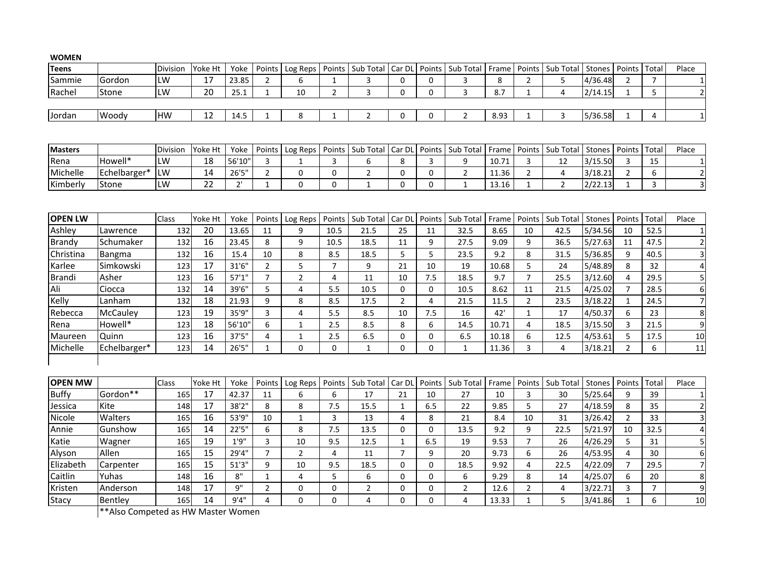| <b>WOMEN</b>   |              |           |         |        |                |                |                |                |                |              |                |       |                |                |               |                |                |                         |
|----------------|--------------|-----------|---------|--------|----------------|----------------|----------------|----------------|----------------|--------------|----------------|-------|----------------|----------------|---------------|----------------|----------------|-------------------------|
| Teens          |              | Division  | Yoke Ht | Yoke   | Points         | Log Reps       | Points         | Sub Total      | Car DL         | Points       | Sub Total      | Frame | Points         | Sub Total      | <b>Stones</b> | Points         | Total          | Place                   |
| Sammie         | Gordon       | LW        | 17      | 23.85  | $\overline{2}$ | 6              | $\mathbf{1}$   | 3              | $\mathbf 0$    | $\Omega$     | 3              | 8     | $\overline{2}$ | 5              | 4/36.48       | $\overline{2}$ | $\overline{7}$ | $\mathbf{1}$            |
| Rachel         | Stone        | LW        | 20      | 25.1   | 1              | 10             | $\overline{2}$ | 3              | 0              | 0            | 3              | 8.7   | $\mathbf{1}$   | 4              | 2/14.15       | $\mathbf{1}$   | 5              | $\overline{2}$          |
|                |              |           |         |        |                |                |                |                |                |              |                |       |                |                |               |                |                |                         |
| Jordan         | Woody        | <b>HW</b> | 12      | 14.5   | $\mathbf{1}$   | 8              | $\mathbf{1}$   | $\overline{2}$ | $\mathbf 0$    | $\mathbf{0}$ | $\overline{2}$ | 8.93  | $\mathbf{1}$   | 3              | 5/36.58       | $\mathbf{1}$   | 4              | $\mathbf 1$             |
|                |              |           |         |        |                |                |                |                |                |              |                |       |                |                |               |                |                |                         |
| <b>Masters</b> |              | Division  | Yoke Ht | Yoke   | Points         | Log Reps       | Points         | Sub Total      | Car DL         | Points       | Sub Total      | Frame | Points         | Sub Total      | Stones        | Points         | Total          | Place                   |
| Rena           | Howell*      | LW        | 18      | 56'10' | 3              | $\mathbf{1}$   | 3              | 6              | 8              | 3            | 9              | 10.71 | 3              | 12             | 3/15.50       | 3              | 15             | $\mathbf{1}$            |
| Michelle       | Echelbarger* | LW        | 14      | 26'5'' | $\overline{2}$ | $\mathbf 0$    | $\mathbf 0$    | $\overline{2}$ | 0              | $\mathbf{0}$ | $\overline{2}$ | 11.36 | $\overline{2}$ | $\overline{4}$ | 3/18.21       | $\overline{2}$ | 6              | $\overline{2}$          |
| Kimberly       | Stone        | LW        | 22      | 2'     | 1              | $\mathbf 0$    | $\mathbf 0$    | $\mathbf{1}$   | $\mathbf 0$    | 0            | $\mathbf{1}$   | 13.16 | 1              | $\overline{2}$ | 2/22.13       | 1              | 3              | $\overline{\mathbf{3}}$ |
|                |              |           |         |        |                |                |                |                |                |              |                |       |                |                |               |                |                |                         |
|                |              |           |         |        |                |                |                |                |                |              |                |       |                |                |               |                |                |                         |
| <b>OPEN LW</b> |              | Class     | Yoke Ht | Yoke   | Points         | Log Reps       | Points         | Sub Total      | Car DL         | Points       | Sub Total      | Frame | Points         | Sub Total      | <b>Stones</b> | Points         | Total          | Place                   |
| Ashley         | Lawrence     | 132       | 20      | 13.65  | 11             | 9              | 10.5           | 21.5           | 25             | 11           | 32.5           | 8.65  | 10             | 42.5           | 5/34.56       | 10             | 52.5           | $\mathbf{1}$            |
| <b>Brandy</b>  | Schumaker    | 132       | 16      | 23.45  | 8              | 9              | 10.5           | 18.5           | 11             | 9            | 27.5           | 9.09  | 9              | 36.5           | 5/27.63       | 11             | 47.5           | $\overline{2}$          |
| Christina      | Bangma       | 132       | 16      | 15.4   | 10             | 8              | 8.5            | 18.5           | 5              | 5            | 23.5           | 9.2   | 8              | 31.5           | 5/36.85       | 9              | 40.5           | 3                       |
| Karlee         | Simkowski    | 123       | 17      | 31'6"  | $\overline{2}$ | 5              | $\overline{7}$ | 9              | 21             | 10           | 19             | 10.68 | 5              | 24             | 5/48.89       | 8              | 32             | $\overline{4}$          |
| <b>Brandi</b>  | Asher        | 123       | 16      | 57'1'' | $\overline{7}$ | $\overline{2}$ | 4              | 11             | 10             | 7.5          | 18.5           | 9.7   | $\overline{7}$ | 25.5           | 3/12.60       | 4              | 29.5           | 5                       |
| Ali            | Ciocca       | 132       | 14      | 39'6"  | 5              | 4              | 5.5            | 10.5           | $\mathbf 0$    | $\mathbf 0$  | 10.5           | 8.62  | 11             | 21.5           | 4/25.02       | $\overline{7}$ | 28.5           | 6                       |
| Kelly          | Lanham       | 132       | 18      | 21.93  | 9              | 8              | 8.5            | 17.5           | $\overline{2}$ | 4            | 21.5           | 11.5  | $\overline{2}$ | 23.5           | 3/18.22       | $\mathbf{1}$   | 24.5           | $\overline{7}$          |
| Rebecca        | McCauley     | 123       | 19      | 35'9"  | $\overline{3}$ | 4              | 5.5            | 8.5            | 10             | 7.5          | 16             | 42'   | $\mathbf{1}$   | 17             | 4/50.37       | 6              | 23             | 8                       |
| Rena           | Howell*      | 123       | 18      | 56'10' | 6              | $1\,$          | 2.5            | 8.5            | 8              | 6            | 14.5           | 10.71 | $\overline{4}$ | 18.5           | 3/15.50       | 3              | 21.5           | 9                       |
| Maureen        | Quinn        | 123       | 16      | 37'5"  | 4              | $\mathbf{1}$   | 2.5            | 6.5            | 0              | $\mathbf{0}$ | 6.5            | 10.18 | 6              | 12.5           | 4/53.61       | 5              | 17.5           | $10\,$                  |
| Michelle       | Echelbarger* | 123       | 14      | 26'5'' | $\mathbf{1}$   | $\Omega$       | $\Omega$       | $\mathbf{1}$   | $\mathbf 0$    | $\Omega$     | $\mathbf{1}$   | 11.36 | 3              | $\overline{4}$ | 3/18.21       | $\overline{2}$ | 6              | 11                      |
|                |              |           |         |        |                |                |                |                |                |              |                |       |                |                |               |                |                |                         |
| <b>OPEN MW</b> |              | Class     | Yoke Ht | Yoke   | Points         | Log Reps       | Points         | Sub Total      | Car DL         | Points       | Sub Total      | Frame | Points         | Sub Total      | Stones        | Points         | Total          | Place                   |
| <b>Buffy</b>   | Gordon**     | 165       | 17      | 42.37  | 11             | 6              | 6              | 17             | 21             | 10           | 27             | 10    | 3              | 30             | 5/25.64       | 9              | 39             | $\mathbf{1}$            |
| Jessica        | Kite         | 148       | 17      | 38'2"  | 8              | 8              | 7.5            | 15.5           | $\mathbf{1}$   | 6.5          | 22             | 9.85  | 5              | 27             | 4/18.59       | 8              | 35             | $\overline{2}$          |
| Nicole         | Walters      | 165       | 16      | 53'9"  | 10             | $\mathbf{1}$   | 3              | 13             | $\overline{4}$ | 8            | 21             | 8.4   | 10             | 31             | 3/26.42       | $\overline{2}$ | 33             | 3                       |
| Annie          | Gunshow      | 165       | 14      | 22'5'' | 6              | 8              | 7.5            | 13.5           | $\Omega$       | $\Omega$     | 13.5           | 9.2   | 9              | 22.5           | 5/21.97       | 10             | 32.5           | 4                       |
| Katie          | Wagner       | 165       | 19      | 1'9''  | 3              | 10             | 9.5            | 12.5           | $\mathbf{1}$   | 6.5          | 19             | 9.53  | $\overline{7}$ | 26             | 4/26.29       | 5              | 31             | 5                       |
| Alyson         | Allen        | 165       | 15      | 29'4"  | $\overline{7}$ | $\overline{2}$ | 4              | 11             | $\overline{7}$ | 9            | 20             | 9.73  | 6              | 26             | 4/53.95       | 4              | 30             | 6                       |
| Elizabeth      | Carpenter    | 165       | 15      | 51'3'' | 9              | 10             | 9.5            | 18.5           | $\mathbf 0$    | $\mathbf{0}$ | 18.5           | 9.92  | $\overline{4}$ | 22.5           | 4/22.09       | $\overline{7}$ | 29.5           | $\overline{7}$          |
| Caitlin        | Yuhas        | 148       | 16      | 8"     | 1              | $\overline{4}$ | 5              | 6              | $\mathbf 0$    | $\Omega$     | 6              | 9.29  | 8              | 14             | 4/25.07       | 6              | 20             | 8                       |
| Kristen        | Anderson     | 148       | 17      | 9"     | $\overline{2}$ | $\mathbf 0$    | 0              | $\overline{2}$ | $\mathbf 0$    | 0            | $\overline{2}$ | 12.6  | $\overline{2}$ | 4              | 3/22.71       | 3              | $\overline{7}$ | 9                       |
| Stacy          | Bentley      | 165       | 14      | 9'4''  | 4              | $\Omega$       | 0              | 4              | $\mathbf 0$    | $\Omega$     | 4              | 13.33 | $\mathbf{1}$   | 5              | 3/41.86       | 1              | 6              | 10                      |

\*\*Also Competed as HW Master Women